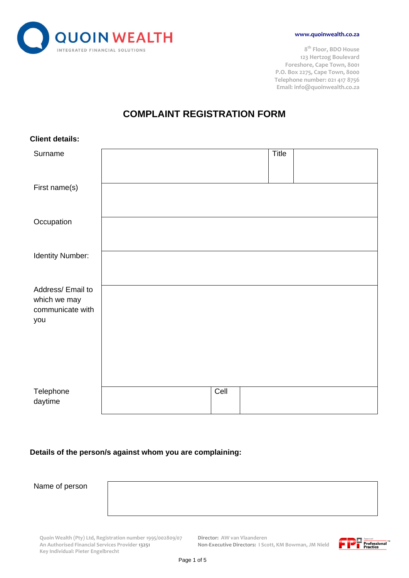

**8 th Floor, BDO House 123 Hertzog Boulevard Foreshore, Cape Town, 8001 P.O. Box 2275, Cape Town, 8000 Telephone number: 021 417 8756 Email: info@quoinwealth.co.za**

# **COMPLAINT REGISTRATION FORM**

| <b>Client details:</b>                                      |      |       |  |
|-------------------------------------------------------------|------|-------|--|
| Surname                                                     |      | Title |  |
| First name(s)                                               |      |       |  |
| Occupation                                                  |      |       |  |
| Identity Number:                                            |      |       |  |
| Address/Email to<br>which we may<br>communicate with<br>you |      |       |  |
| Telephone<br>daytime                                        | Cell |       |  |

## **Details of the person/s against whom you are complaining:**

Name of person

**Quoin Wealth (Pty) Ltd, Registration number 1995/002809/07 Director: AW van Vlaanderen Key Individual: Pieter Engelbrecht**

**Non-Executive Directors: I Scott, KM Bowman, JM Nield** 

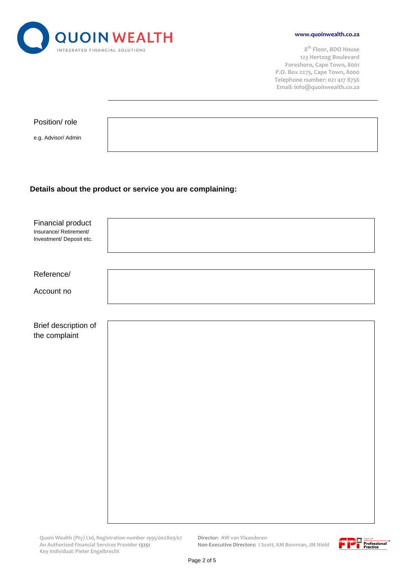

**8 th Floor, BDO House 123 Hertzog Boulevard Foreshore, Cape Town, 8001 P.O. Box 2275, Cape Town, 8000 Telephone number: 021 417 8756 Email: info@quoinwealth.co.za**

| Position/ role      |  |  |
|---------------------|--|--|
|                     |  |  |
| e.g. Advisor/ Admin |  |  |
|                     |  |  |

## **Details about the product or service you are complaining:**

**Non-Executive Directors: I Scott, KM Bowman, JM Nield** 

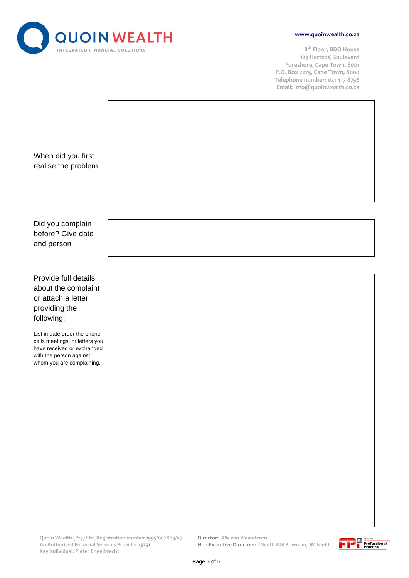

**8 th Floor, BDO House 123 Hertzog Boulevard Foreshore, Cape Town, 8001 P.O. Box 2275, Cape Town, 8000 Telephone number: 021 417 8756 Email: info@quoinwealth.co.za**

| When did you first<br>realise the problem                                                                                                            |  |
|------------------------------------------------------------------------------------------------------------------------------------------------------|--|
| Did you complain                                                                                                                                     |  |
| before? Give date<br>and person                                                                                                                      |  |
|                                                                                                                                                      |  |
| Provide full details<br>about the complaint                                                                                                          |  |
| or attach a letter<br>providing the                                                                                                                  |  |
| following:                                                                                                                                           |  |
| List in date order the phone<br>calls meetings, or letters you<br>have received or exchanged<br>with the person against<br>whom you are complaining. |  |
|                                                                                                                                                      |  |
|                                                                                                                                                      |  |
|                                                                                                                                                      |  |
|                                                                                                                                                      |  |
|                                                                                                                                                      |  |
|                                                                                                                                                      |  |
|                                                                                                                                                      |  |
|                                                                                                                                                      |  |

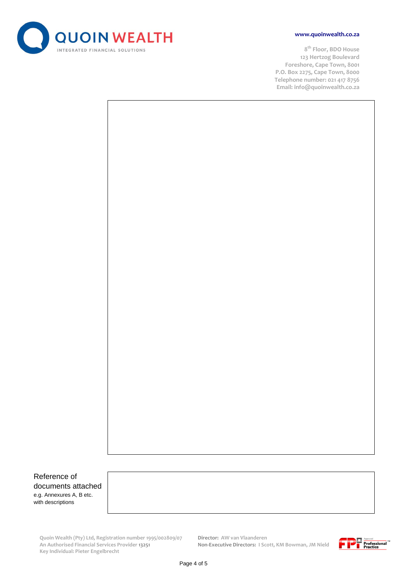

**8 th Floor, BDO House 123 Hertzog Boulevard Foreshore, Cape Town, 8001 P.O. Box 2275, Cape Town, 8000 Telephone number: 021 417 8756 Email: info@quoinwealth.co.za**

# Reference of documents attached

e.g. Annexures A, B etc. with descriptions

> **Quoin Wealth (Pty) Ltd, Registration number 1995/002809/07 Director: AW van Vlaanderen Key Individual: Pieter Engelbrecht**

**Non-Executive Directors: I Scott, KM Bowman, JM Nield**